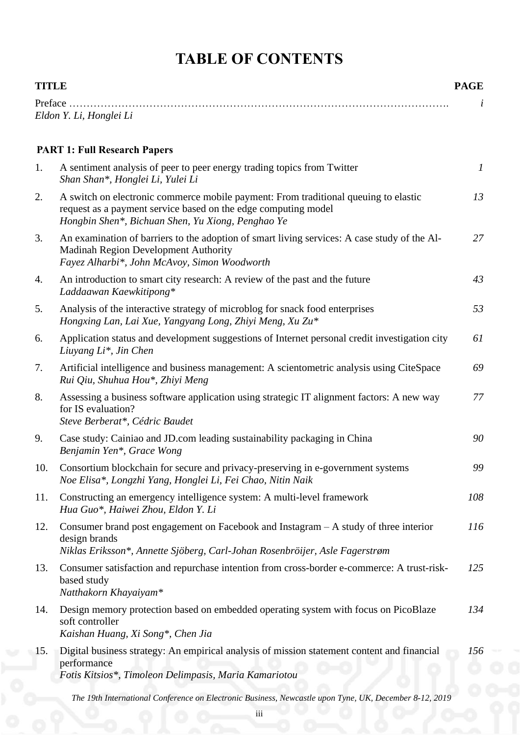## **TABLE OF CONTENTS**

| <b>TITLE</b> |                                                                                                                                                                                                            | <b>PAGE</b>      |
|--------------|------------------------------------------------------------------------------------------------------------------------------------------------------------------------------------------------------------|------------------|
|              | Eldon Y. Li, Honglei Li                                                                                                                                                                                    |                  |
|              | <b>PART 1: Full Research Papers</b>                                                                                                                                                                        |                  |
| 1.           | A sentiment analysis of peer to peer energy trading topics from Twitter<br>Shan Shan*, Honglei Li, Yulei Li                                                                                                | $\boldsymbol{l}$ |
| 2.           | A switch on electronic commerce mobile payment: From traditional queuing to elastic<br>request as a payment service based on the edge computing model<br>Hongbin Shen*, Bichuan Shen, Yu Xiong, Penghao Ye | 13               |
| 3.           | An examination of barriers to the adoption of smart living services: A case study of the Al-<br><b>Madinah Region Development Authority</b><br>Fayez Alharbi*, John McAvoy, Simon Woodworth                | 27               |
| 4.           | An introduction to smart city research: A review of the past and the future<br>Laddaawan Kaewkitipong*                                                                                                     | 43               |
| 5.           | Analysis of the interactive strategy of microblog for snack food enterprises<br>Hongxing Lan, Lai Xue, Yangyang Long, Zhiyi Meng, Xu Zu*                                                                   | 53               |
| 6.           | Application status and development suggestions of Internet personal credit investigation city<br>Liuyang Li <sup>*</sup> , Jin Chen                                                                        | 61               |
| 7.           | Artificial intelligence and business management: A scientometric analysis using CiteSpace<br>Rui Qiu, Shuhua Hou*, Zhiyi Meng                                                                              | 69               |
| 8.           | Assessing a business software application using strategic IT alignment factors: A new way<br>for IS evaluation?<br>Steve Berberat*, Cédric Baudet                                                          | 77               |
| 9.           | Case study: Cainiao and JD.com leading sustainability packaging in China<br>Benjamin Yen*, Grace Wong                                                                                                      | 90               |
| 10.          | Consortium blockchain for secure and privacy-preserving in e-government systems<br>Noe Elisa*, Longzhi Yang, Honglei Li, Fei Chao, Nitin Naik                                                              | 99               |
| 11.          | Constructing an emergency intelligence system: A multi-level framework<br>Hua Guo*, Haiwei Zhou, Eldon Y. Li                                                                                               | 108              |
| 12.          | Consumer brand post engagement on Facebook and Instagram – A study of three interior<br>design brands<br>Niklas Eriksson*, Annette Sjöberg, Carl-Johan Rosenbröijer, Asle Fagerstrøm                       | 116              |
| 13.          | Consumer satisfaction and repurchase intention from cross-border e-commerce: A trust-risk-<br>based study<br>Natthakorn Khayaiyam*                                                                         | 125              |
| 14.          | Design memory protection based on embedded operating system with focus on PicoBlaze<br>soft controller<br>Kaishan Huang, Xi Song*, Chen Jia                                                                | 134              |
| 15.          | Digital business strategy: An empirical analysis of mission statement content and financial<br>performance<br>Fotis Kitsios*, Timoleon Delimpasis, Maria Kamariotou                                        | 156              |
|              |                                                                                                                                                                                                            |                  |

*The 19th International Conference on Electronic Business, Newcastle upon Tyne, UK, December 8-12, 2019*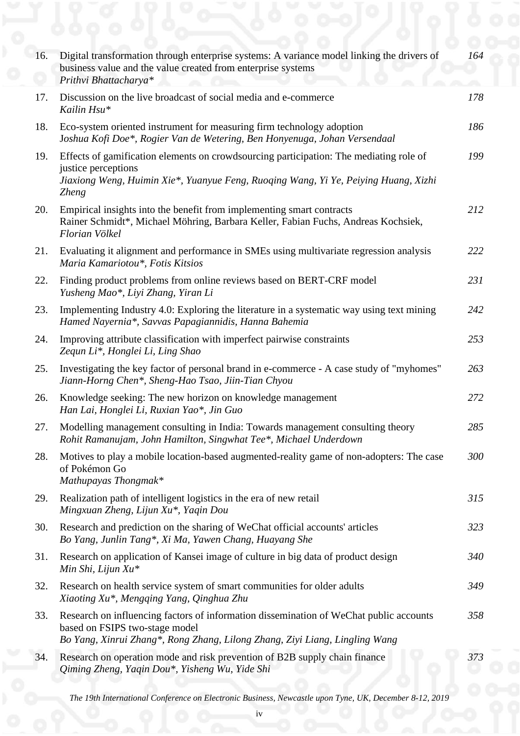| 16. | Digital transformation through enterprise systems: A variance model linking the drivers of<br>business value and the value created from enterprise systems<br>Prithvi Bhattacharya*                                  | 164 |
|-----|----------------------------------------------------------------------------------------------------------------------------------------------------------------------------------------------------------------------|-----|
| 17. | Discussion on the live broadcast of social media and e-commerce<br>Kailin Hsu*                                                                                                                                       | 178 |
| 18. | Eco-system oriented instrument for measuring firm technology adoption<br>Joshua Kofi Doe*, Rogier Van de Wetering, Ben Honyenuga, Johan Versendaal                                                                   | 186 |
| 19. | Effects of gamification elements on crowdsourcing participation: The mediating role of<br>justice perceptions<br>Jiaxiong Weng, Huimin Xie*, Yuanyue Feng, Ruoqing Wang, Yi Ye, Peiying Huang, Xizhi<br><b>Zheng</b> | 199 |
| 20. | Empirical insights into the benefit from implementing smart contracts<br>Rainer Schmidt*, Michael Möhring, Barbara Keller, Fabian Fuchs, Andreas Kochsiek,<br>Florian Völkel                                         | 212 |
| 21. | Evaluating it alignment and performance in SMEs using multivariate regression analysis<br>Maria Kamariotou*, Fotis Kitsios                                                                                           | 222 |
| 22. | Finding product problems from online reviews based on BERT-CRF model<br>Yusheng Mao*, Liyi Zhang, Yiran Li                                                                                                           | 231 |
| 23. | Implementing Industry 4.0: Exploring the literature in a systematic way using text mining<br>Hamed Nayernia*, Savvas Papagiannidis, Hanna Bahemia                                                                    | 242 |
| 24. | Improving attribute classification with imperfect pairwise constraints<br>Zequn Li*, Honglei Li, Ling Shao                                                                                                           | 253 |
| 25. | Investigating the key factor of personal brand in e-commerce - A case study of "myhomes"<br>Jiann-Horng Chen*, Sheng-Hao Tsao, Jiin-Tian Chyou                                                                       | 263 |
| 26. | Knowledge seeking: The new horizon on knowledge management<br>Han Lai, Honglei Li, Ruxian Yao*, Jin Guo                                                                                                              | 272 |
| 27. | Modelling management consulting in India: Towards management consulting theory<br>Rohit Ramanujam, John Hamilton, Singwhat Tee*, Michael Underdown                                                                   | 285 |
| 28. | Motives to play a mobile location-based augmented-reality game of non-adopters: The case<br>of Pokémon Go<br>Mathupayas Thongmak*                                                                                    | 300 |
| 29. | Realization path of intelligent logistics in the era of new retail<br>Mingxuan Zheng, Lijun Xu*, Yaqin Dou                                                                                                           | 315 |
| 30. | Research and prediction on the sharing of WeChat official accounts' articles<br>Bo Yang, Junlin Tang*, Xi Ma, Yawen Chang, Huayang She                                                                               | 323 |
| 31. | Research on application of Kansei image of culture in big data of product design<br>Min Shi, Lijun $Xu^*$                                                                                                            | 340 |
| 32. | Research on health service system of smart communities for older adults<br>Xiaoting Xu*, Mengqing Yang, Qinghua Zhu                                                                                                  | 349 |
| 33. | Research on influencing factors of information dissemination of WeChat public accounts<br>based on FSIPS two-stage model<br>Bo Yang, Xinrui Zhang*, Rong Zhang, Lilong Zhang, Ziyi Liang, Lingling Wang              | 358 |
| 34. | Research on operation mode and risk prevention of B2B supply chain finance<br>Qiming Zheng, Yaqin Dou*, Yisheng Wu, Yide Shi                                                                                         | 373 |

*The 19th International Conference on Electronic Business, Newcastle upon Tyne, UK, December 8-12, 2019*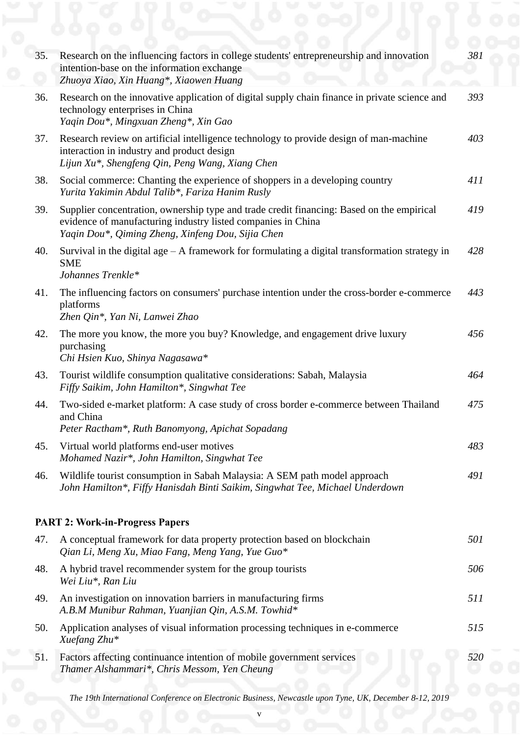| 35. | Research on the influencing factors in college students' entrepreneurship and innovation<br>intention-base on the information exchange<br>Zhuoya Xiao, Xin Huang*, Xiaowen Huang                               | 381        |
|-----|----------------------------------------------------------------------------------------------------------------------------------------------------------------------------------------------------------------|------------|
| 36. | Research on the innovative application of digital supply chain finance in private science and<br>technology enterprises in China<br>Yaqin Dou*, Mingxuan Zheng*, Xin Gao                                       | 393        |
| 37. | Research review on artificial intelligence technology to provide design of man-machine<br>interaction in industry and product design<br>Lijun Xu*, Shengfeng Qin, Peng Wang, Xiang Chen                        | 403        |
| 38. | Social commerce: Chanting the experience of shoppers in a developing country<br>Yurita Yakimin Abdul Talib*, Fariza Hanim Rusly                                                                                | 411        |
| 39. | Supplier concentration, ownership type and trade credit financing: Based on the empirical<br>evidence of manufacturing industry listed companies in China<br>Yaqin Dou*, Qiming Zheng, Xinfeng Dou, Sijia Chen | 419        |
| 40. | Survival in the digital age $-$ A framework for formulating a digital transformation strategy in<br><b>SME</b><br>Johannes Trenkle*                                                                            | 428        |
| 41. | The influencing factors on consumers' purchase intention under the cross-border e-commerce<br>platforms<br>Zhen Qin*, Yan Ni, Lanwei Zhao                                                                      | 443        |
| 42. | The more you know, the more you buy? Knowledge, and engagement drive luxury<br>purchasing<br>Chi Hsien Kuo, Shinya Nagasawa*                                                                                   | 456        |
| 43. | Tourist wildlife consumption qualitative considerations: Sabah, Malaysia<br>Fiffy Saikim, John Hamilton*, Singwhat Tee                                                                                         | 464        |
| 44. | Two-sided e-market platform: A case study of cross border e-commerce between Thailand<br>and China<br>Peter Ractham*, Ruth Banomyong, Apichat Sopadang                                                         | 475        |
| 45. | Virtual world platforms end-user motives<br>Mohamed Nazir*, John Hamilton, Singwhat Tee                                                                                                                        | 483        |
| 46. | Wildlife tourist consumption in Sabah Malaysia: A SEM path model approach<br>John Hamilton*, Fiffy Hanisdah Binti Saikim, Singwhat Tee, Michael Underdown                                                      | 491        |
|     | <b>PART 2: Work-in-Progress Papers</b>                                                                                                                                                                         |            |
| 47. | A conceptual framework for data property protection based on blockchain<br>Qian Li, Meng Xu, Miao Fang, Meng Yang, Yue Guo*                                                                                    | 501        |
| 48. | A hybrid travel recommender system for the group tourists<br>Wei Liu*, Ran Liu                                                                                                                                 | 506        |
| 49. | An investigation on innovation barriers in manufacturing firms<br>A.B.M Munibur Rahman, Yuanjian Qin, A.S.M. Towhid*                                                                                           | 511        |
| 50. | Application analyses of visual information processing techniques in e-commerce<br>Xuefang Zhu*                                                                                                                 | 515        |
| 51. | Factors affecting continuance intention of mobile government services<br>Thamer Alshammari*, Chris Messom, Yen Cheung                                                                                          | <i>520</i> |
|     |                                                                                                                                                                                                                |            |